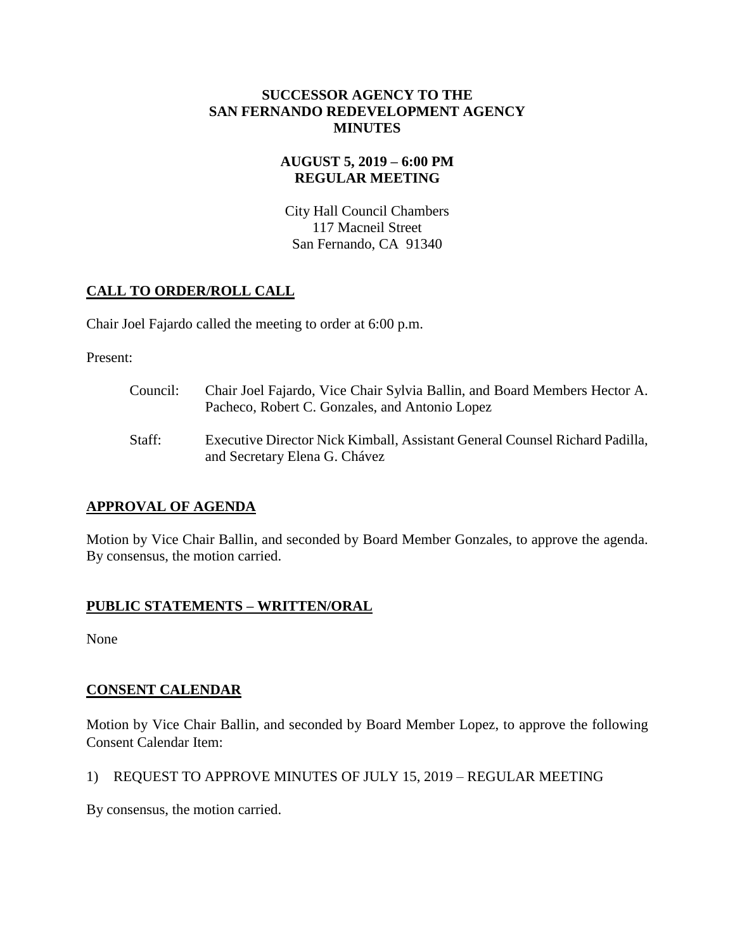#### **SUCCESSOR AGENCY TO THE SAN FERNANDO REDEVELOPMENT AGENCY MINUTES**

#### **AUGUST 5, 2019 – 6:00 PM REGULAR MEETING**

City Hall Council Chambers 117 Macneil Street San Fernando, CA 91340

# **CALL TO ORDER/ROLL CALL**

Chair Joel Fajardo called the meeting to order at 6:00 p.m.

Present:

- Council: Chair Joel Fajardo, Vice Chair Sylvia Ballin, and Board Members Hector A. Pacheco, Robert C. Gonzales, and Antonio Lopez
- Staff: Executive Director Nick Kimball, Assistant General Counsel Richard Padilla, and Secretary Elena G. Chávez

## **APPROVAL OF AGENDA**

Motion by Vice Chair Ballin, and seconded by Board Member Gonzales, to approve the agenda. By consensus, the motion carried.

## **PUBLIC STATEMENTS – WRITTEN/ORAL**

None

## **CONSENT CALENDAR**

Motion by Vice Chair Ballin, and seconded by Board Member Lopez, to approve the following Consent Calendar Item:

## 1) REQUEST TO APPROVE MINUTES OF JULY 15, 2019 – REGULAR MEETING

By consensus, the motion carried.